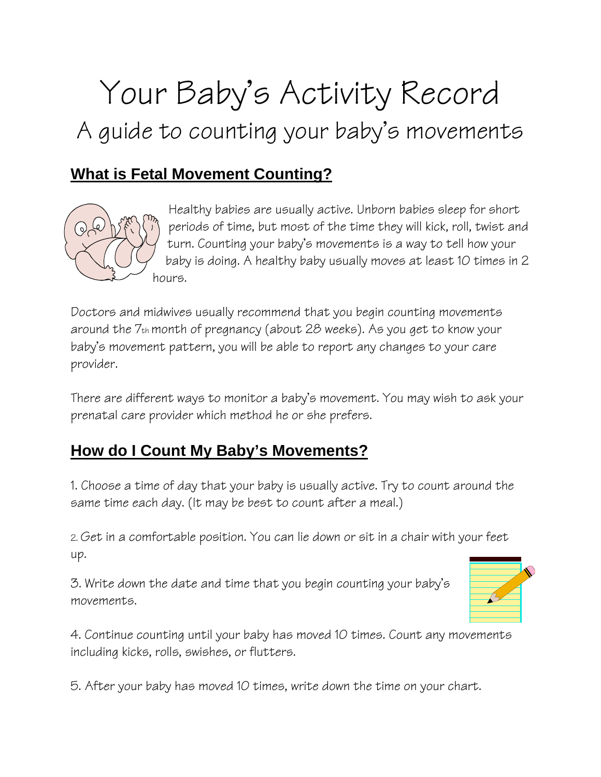# Your Baby's Activity Record A guide to counting your baby's movements

### **What is Fetal Movement Counting?**



Healthy babies are usually active. Unborn babies sleep for short periods of time, but most of the time they will kick, roll, twist and turn. Counting your baby's movements is a way to tell how your baby is doing. A healthy baby usually moves at least 10 times in 2 hours.

Doctors and midwives usually recommend that you begin counting movements around the 7th month of pregnancy (about 28 weeks). As you get to know your baby's movement pattern, you will be able to report any changes to your care provider.

There are different ways to monitor a baby's movement. You may wish to ask your prenatal care provider which method he or she prefers.

## **How do I Count My Baby's Movements?**

1. Choose a time of day that your baby is usually active. Try to count around the same time each day. (It may be best to count after a meal.)

2. Get in a comfortable position. You can lie down or sit in a chair with your feet up.

3. Write down the date and time that you begin counting your baby's movements.



4. Continue counting until your baby has moved 10 times. Count any movements including kicks, rolls, swishes, or flutters.

5. After your baby has moved 10 times, write down the time on your chart.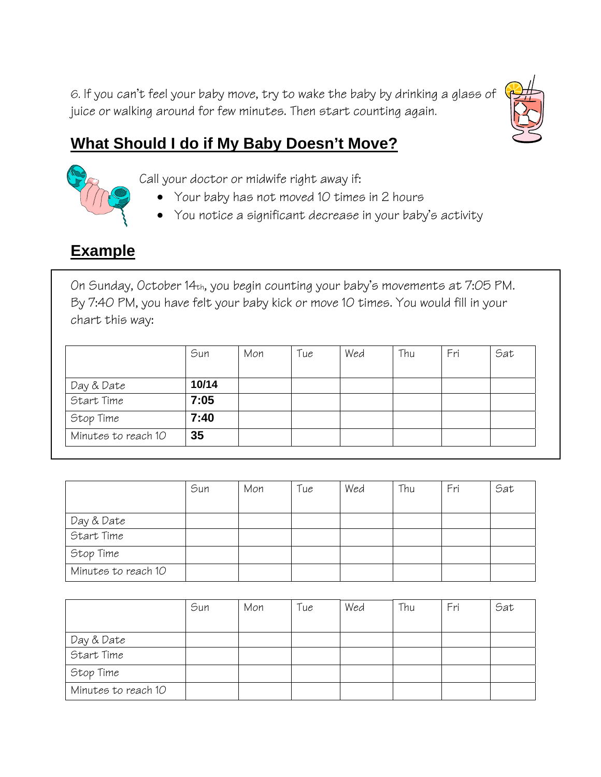6. If you can't feel your baby move, try to wake the baby by drinking a glass of juice or walking around for few minutes. Then start counting again.



## **What Should I do if My Baby Doesn't Move?**



Call your doctor or midwife right away if:

- Your baby has not moved 10 times in 2 hours
- You notice a significant decrease in your baby's activity

## **Example**

On Sunday, October 14th, you begin counting your baby's movements at 7:05 PM. By 7:40 PM, you have felt your baby kick or move 10 times. You would fill in your chart this way:

|                     | Sun   | Mon | Tue | Wed | Thu | Fri | Sat |
|---------------------|-------|-----|-----|-----|-----|-----|-----|
|                     |       |     |     |     |     |     |     |
| Day & Date          | 10/14 |     |     |     |     |     |     |
| Start Time          | 7:05  |     |     |     |     |     |     |
| Stop Time           | 7:40  |     |     |     |     |     |     |
| Minutes to reach 10 | 35    |     |     |     |     |     |     |

|                     | Sun | Mon | Tue | Wed | Thu | Fri | Sat |
|---------------------|-----|-----|-----|-----|-----|-----|-----|
|                     |     |     |     |     |     |     |     |
| Day & Date          |     |     |     |     |     |     |     |
| Start Time          |     |     |     |     |     |     |     |
| Stop Time           |     |     |     |     |     |     |     |
| Minutes to reach 10 |     |     |     |     |     |     |     |

|                     | Sun | Mon | Tue | Wed | Thu | Fri | Sat |
|---------------------|-----|-----|-----|-----|-----|-----|-----|
| Day & Date          |     |     |     |     |     |     |     |
| Start Time          |     |     |     |     |     |     |     |
| Stop Time           |     |     |     |     |     |     |     |
| Minutes to reach 10 |     |     |     |     |     |     |     |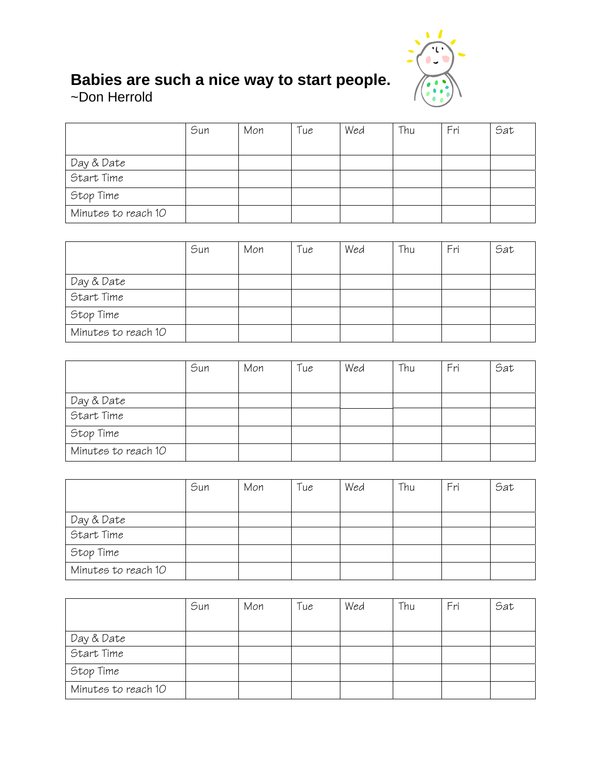

#### **Babies are such a nice way to start people.**

~Don Herrold

|                     | Sun | Mon | Tue | Wed | Thu | Fri | Sat |
|---------------------|-----|-----|-----|-----|-----|-----|-----|
|                     |     |     |     |     |     |     |     |
| Day & Date          |     |     |     |     |     |     |     |
| Start Time          |     |     |     |     |     |     |     |
| Stop Time           |     |     |     |     |     |     |     |
| Minutes to reach 10 |     |     |     |     |     |     |     |

|                     | Sun | Mon | Tue | Wed | Thu | Fri | Sat |
|---------------------|-----|-----|-----|-----|-----|-----|-----|
|                     |     |     |     |     |     |     |     |
| Day & Date          |     |     |     |     |     |     |     |
| Start Time          |     |     |     |     |     |     |     |
| Stop Time           |     |     |     |     |     |     |     |
| Minutes to reach 10 |     |     |     |     |     |     |     |

|                     | Sun | Mon | Tue | Wed | Thu | Fri | Sat |
|---------------------|-----|-----|-----|-----|-----|-----|-----|
|                     |     |     |     |     |     |     |     |
| Day & Date          |     |     |     |     |     |     |     |
| Start Time          |     |     |     |     |     |     |     |
| Stop Time           |     |     |     |     |     |     |     |
| Minutes to reach 10 |     |     |     |     |     |     |     |

|                     | Sun | Mon | Tue | Wed | Thu | Fri | Sat |
|---------------------|-----|-----|-----|-----|-----|-----|-----|
|                     |     |     |     |     |     |     |     |
| Day & Date          |     |     |     |     |     |     |     |
| Start Time          |     |     |     |     |     |     |     |
| Stop Time           |     |     |     |     |     |     |     |
| Minutes to reach 10 |     |     |     |     |     |     |     |

|                     | Sun | Mon | Tue | Wed | Thu | Fri | Sat |
|---------------------|-----|-----|-----|-----|-----|-----|-----|
|                     |     |     |     |     |     |     |     |
| Day & Date          |     |     |     |     |     |     |     |
| Start Time          |     |     |     |     |     |     |     |
| Stop Time           |     |     |     |     |     |     |     |
| Minutes to reach 10 |     |     |     |     |     |     |     |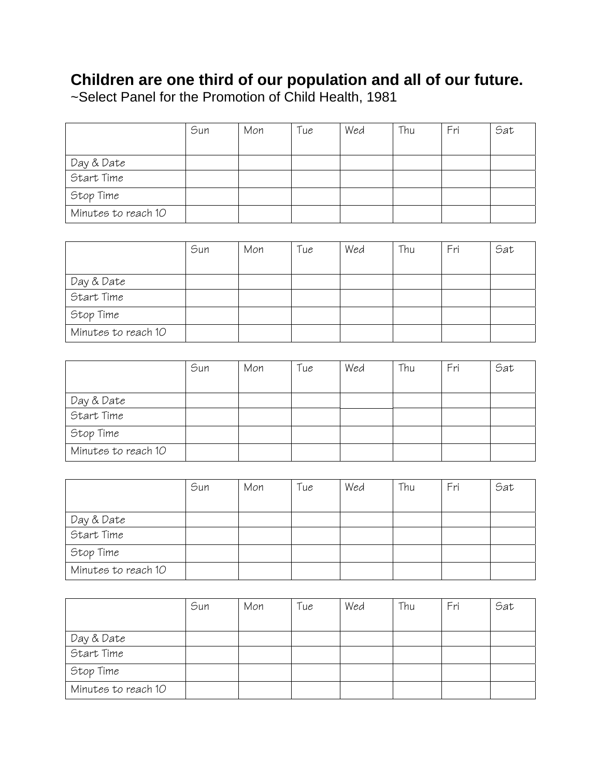#### **Children are one third of our population and all of our future.**

~Select Panel for the Promotion of Child Health, 1981

|                     | Sun | Mon | Tue | Wed | Thu | Fri | Sat |
|---------------------|-----|-----|-----|-----|-----|-----|-----|
|                     |     |     |     |     |     |     |     |
| Day & Date          |     |     |     |     |     |     |     |
| Start Time          |     |     |     |     |     |     |     |
| Stop Time           |     |     |     |     |     |     |     |
| Minutes to reach 10 |     |     |     |     |     |     |     |

|                          | Sun | Mon | Tue | Wed | Thu | Fri | Sat |
|--------------------------|-----|-----|-----|-----|-----|-----|-----|
|                          |     |     |     |     |     |     |     |
| Day & Date<br>Start Time |     |     |     |     |     |     |     |
|                          |     |     |     |     |     |     |     |
| Stop Time                |     |     |     |     |     |     |     |
| Minutes to reach 10      |     |     |     |     |     |     |     |

|                     | Sun | Mon | Tue | Wed | Thu | Fri | Sat |
|---------------------|-----|-----|-----|-----|-----|-----|-----|
|                     |     |     |     |     |     |     |     |
| Day & Date          |     |     |     |     |     |     |     |
| Start Time          |     |     |     |     |     |     |     |
| Stop Time           |     |     |     |     |     |     |     |
| Minutes to reach 10 |     |     |     |     |     |     |     |

|                     | Sun | Mon | Tue | Wed | Thu | Fri | Sat |
|---------------------|-----|-----|-----|-----|-----|-----|-----|
|                     |     |     |     |     |     |     |     |
| Day & Date          |     |     |     |     |     |     |     |
| Start Time          |     |     |     |     |     |     |     |
| Stop Time           |     |     |     |     |     |     |     |
| Minutes to reach 10 |     |     |     |     |     |     |     |

|                     | Sun | Mon | Tue | Wed | Thu | Fri | Sat |
|---------------------|-----|-----|-----|-----|-----|-----|-----|
|                     |     |     |     |     |     |     |     |
| Day & Date          |     |     |     |     |     |     |     |
| Start Time          |     |     |     |     |     |     |     |
| Stop Time           |     |     |     |     |     |     |     |
| Minutes to reach 10 |     |     |     |     |     |     |     |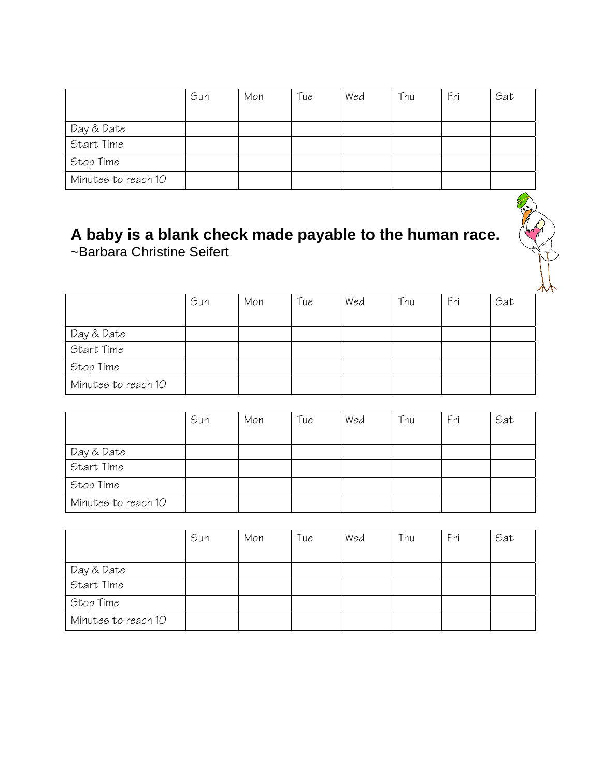|                     | Sun | Mon | Tue | Wed | Thu | Fri | Sat |
|---------------------|-----|-----|-----|-----|-----|-----|-----|
|                     |     |     |     |     |     |     |     |
| Day & Date          |     |     |     |     |     |     |     |
| Start Time          |     |     |     |     |     |     |     |
| Stop Time           |     |     |     |     |     |     |     |
| Minutes to reach 10 |     |     |     |     |     |     |     |

#### **A baby is a blank check made payable to the human race.**  ~Barbara Christine Seifert

|                     | Sun | Mon | Tue | Wed | Thu | Fri | Sat |
|---------------------|-----|-----|-----|-----|-----|-----|-----|
| Day & Date          |     |     |     |     |     |     |     |
| Start Time          |     |     |     |     |     |     |     |
| Stop Time           |     |     |     |     |     |     |     |
| Minutes to reach 10 |     |     |     |     |     |     |     |

|                     | Sun | Mon | Tue | Wed | Thu | Fri | Sat |
|---------------------|-----|-----|-----|-----|-----|-----|-----|
|                     |     |     |     |     |     |     |     |
| Day & Date          |     |     |     |     |     |     |     |
| Start Time          |     |     |     |     |     |     |     |
| Stop Time           |     |     |     |     |     |     |     |
| Minutes to reach 10 |     |     |     |     |     |     |     |

|                     | Sun | Mon | Tue | Wed | Thu | Fri | Sat |
|---------------------|-----|-----|-----|-----|-----|-----|-----|
|                     |     |     |     |     |     |     |     |
| Day & Date          |     |     |     |     |     |     |     |
| Start Time          |     |     |     |     |     |     |     |
| Stop Time           |     |     |     |     |     |     |     |
| Minutes to reach 10 |     |     |     |     |     |     |     |